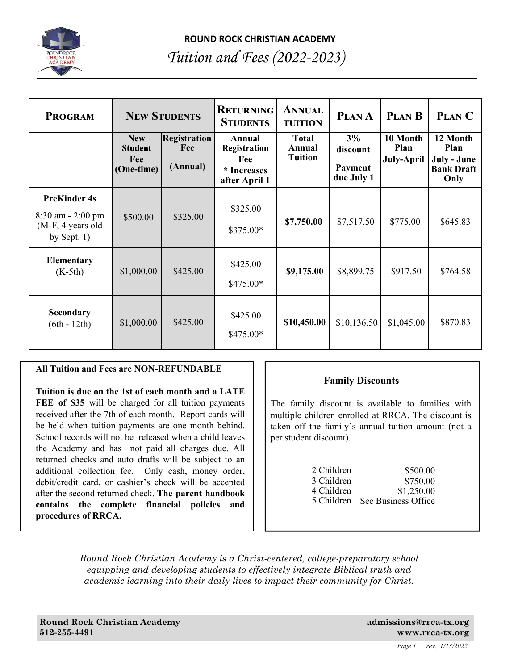

## **ROUND ROCK CHRISTIAN ACADEMY**

# *Tuition and Fees (2022-2023)*

| <b>PROGRAM</b>                                                                       |                                                   | <b>NEW STUDENTS</b>                    | <b>RETURNING</b><br><b>STUDENTS</b>                           | <b>ANNUAL</b><br><b>TUITION</b>          | PLAN A                                  | <b>PLAN B</b>                         | PLAN C                                                              |
|--------------------------------------------------------------------------------------|---------------------------------------------------|----------------------------------------|---------------------------------------------------------------|------------------------------------------|-----------------------------------------|---------------------------------------|---------------------------------------------------------------------|
|                                                                                      | <b>New</b><br><b>Student</b><br>Fee<br>(One-time) | <b>Registration</b><br>Fee<br>(Annual) | Annual<br>Registration<br>Fee<br>* Increases<br>after April 1 | <b>Total</b><br>Annual<br><b>Tuition</b> | 3%<br>discount<br>Payment<br>due July 1 | 10 Month<br>Plan<br><b>July-April</b> | 12 Month<br><b>Plan</b><br>July - June<br><b>Bank Draft</b><br>Only |
| <b>PreKinder 4s</b><br>$8:30$ am $- 2:00$ pm<br>$(M-F, 4$ years old<br>by Sept. $1)$ | \$500.00                                          | \$325.00                               | \$325.00<br>\$375.00*                                         | \$7,750.00                               | \$7,517.50                              | \$775.00                              | \$645.83                                                            |
| <b>Elementary</b><br>$(K-5th)$                                                       | \$1,000.00                                        | \$425.00                               | \$425.00<br>$$475.00*$                                        | \$9,175.00                               | \$8,899.75                              | \$917.50                              | \$764.58                                                            |
| Secondary<br>$(6th - 12th)$                                                          | \$1,000.00                                        | \$425.00                               | \$425.00<br>$$475.00*$                                        | \$10,450.00                              | \$10,136.50                             | \$1,045.00                            | \$870.83                                                            |

#### **All Tuition and Fees are NON-REFUNDABLE**

**Tuition is due on the 1st of each month and a LATE FEE of \$35** will be charged for all tuition payments received after the 7th of each month. Report cards will be held when tuition payments are one month behind. School records will not be released when a child leaves the Academy and has not paid all charges due. All returned checks and auto drafts will be subject to an additional collection fee. Only cash, money order, debit/credit card, or cashier's check will be accepted after the second returned check. **The parent handbook contains the complete financial policies and procedures of RRCA.** 

### **Family Discounts**

The family discount is available to families with multiple children enrolled at RRCA. The discount is taken off the family's annual tuition amount (not a per student discount).

| 2 Children | \$500.00            |
|------------|---------------------|
| 3 Children | \$750.00            |
| 4 Children | \$1,250.00          |
| 5 Children | See Business Office |

*Round Rock Christian Academy is a Christ-centered, college-preparatory school equipping and developing students to effectively integrate Biblical truth and academic learning into their daily lives to impact their community for Christ.*